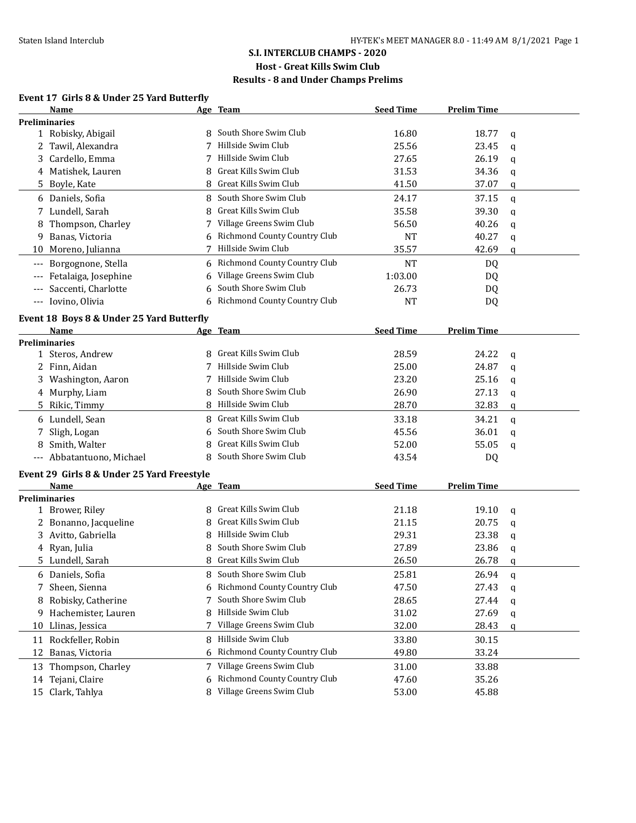### **S.I. INTERCLUB CHAMPS - 2020**

## **Host - Great Kills Swim Club**

### **Results - 8 and Under Champs Prelims**

### **Event 17 Girls 8 & Under 25 Yard Butterfly**

|       | Name                                       |   | Age Team                            | <b>Seed Time</b> | <b>Prelim Time</b> |              |
|-------|--------------------------------------------|---|-------------------------------------|------------------|--------------------|--------------|
|       | <b>Preliminaries</b>                       |   |                                     |                  |                    |              |
|       | 1 Robisky, Abigail                         |   | South Shore Swim Club               | 16.80            | 18.77              | q            |
|       | 2 Tawil, Alexandra                         | 7 | Hillside Swim Club                  | 25.56            | 23.45              | q            |
| 3     | Cardello, Emma                             |   | Hillside Swim Club                  | 27.65            | 26.19              | q            |
|       | 4 Matishek, Lauren                         | 8 | Great Kills Swim Club               | 31.53            | 34.36              | q            |
|       | 5 Boyle, Kate                              | 8 | Great Kills Swim Club               | 41.50            | 37.07              | q            |
|       | 6 Daniels, Sofia                           | 8 | South Shore Swim Club               | 24.17            | 37.15              | $\mathbf{q}$ |
| 7     | Lundell, Sarah                             | 8 | Great Kills Swim Club               | 35.58            | 39.30              | q            |
| 8     | Thompson, Charley                          | 7 | Village Greens Swim Club            | 56.50            | 40.26              | q            |
| 9.    | Banas, Victoria                            | 6 | Richmond County Country Club        | <b>NT</b>        | 40.27              | q            |
|       | 10 Moreno, Julianna                        | 7 | Hillside Swim Club                  | 35.57            | 42.69              | q            |
| $---$ | Borgognone, Stella                         | 6 | Richmond County Country Club        | <b>NT</b>        | DQ                 |              |
|       | Fetalaiga, Josephine                       | 6 | Village Greens Swim Club            | 1:03.00          | DQ                 |              |
|       | Saccenti, Charlotte                        | 6 | South Shore Swim Club               | 26.73            | DQ                 |              |
| $---$ | Iovino, Olivia                             | 6 | <b>Richmond County Country Club</b> | <b>NT</b>        | DQ                 |              |
|       |                                            |   |                                     |                  |                    |              |
|       | Event 18 Boys 8 & Under 25 Yard Butterfly  |   |                                     | <b>Seed Time</b> |                    |              |
|       | Name<br>Preliminaries                      |   | Age Team                            |                  | <b>Prelim Time</b> |              |
|       | 1 Steros, Andrew                           | 8 | Great Kills Swim Club               | 28.59            | 24.22              |              |
|       | 2 Finn, Aidan                              | 7 | Hillside Swim Club                  | 25.00            | 24.87              | q<br>q       |
|       | 3 Washington, Aaron                        | 7 | Hillside Swim Club                  | 23.20            | 25.16              |              |
|       | 4 Murphy, Liam                             | 8 | South Shore Swim Club               | 26.90            | 27.13              | q            |
|       |                                            | 8 | Hillside Swim Club                  | 28.70            | 32.83              | q            |
|       | 5 Rikic, Timmy                             |   |                                     |                  |                    | q            |
|       | 6 Lundell, Sean                            | 8 | Great Kills Swim Club               | 33.18            | 34.21              | q            |
| 7     | Sligh, Logan                               | 6 | South Shore Swim Club               | 45.56            | 36.01              | q            |
| 8     | Smith, Walter                              | 8 | Great Kills Swim Club               | 52.00            | 55.05              | q            |
|       | --- Abbatantuono, Michael                  | 8 | South Shore Swim Club               | 43.54            | DQ                 |              |
|       | Event 29 Girls 8 & Under 25 Yard Freestyle |   |                                     |                  |                    |              |
|       | <b>Name</b>                                |   | Age Team                            | <b>Seed Time</b> | <b>Prelim Time</b> |              |
|       | <b>Preliminaries</b>                       |   |                                     |                  |                    |              |
|       | 1 Brower, Riley                            | 8 | Great Kills Swim Club               | 21.18            | 19.10              | q            |
| 2     | Bonanno, Jacqueline                        | 8 | Great Kills Swim Club               | 21.15            | 20.75              | q            |
| 3     | Avitto, Gabriella                          | 8 | Hillside Swim Club                  | 29.31            | 23.38              | q            |
|       | 4 Ryan, Julia                              | 8 | South Shore Swim Club               | 27.89            | 23.86              | q            |
|       | 5 Lundell, Sarah                           |   | 8 Great Kills Swim Club             | 26.50            | 26.78              | q            |
|       | 6 Daniels, Sofia                           | 8 | South Shore Swim Club               | 25.81            | 26.94              | q            |
| 7     | Sheen, Sienna                              | 6 | Richmond County Country Club        | 47.50            | 27.43              | q            |
| 8     | Robisky, Catherine                         | 7 | South Shore Swim Club               | 28.65            | 27.44              | q            |
| 9     | Hachemister, Lauren                        | 8 | Hillside Swim Club                  | 31.02            | 27.69              | q            |
| 10    | Llinas, Jessica                            | 7 | Village Greens Swim Club            | 32.00            | 28.43              | q            |
| 11    | Rockfeller, Robin                          | 8 | Hillside Swim Club                  | 33.80            | 30.15              |              |
| 12    | Banas, Victoria                            | 6 | Richmond County Country Club        | 49.80            | 33.24              |              |
|       | 13 Thompson, Charley                       | 7 | Village Greens Swim Club            | 31.00            | 33.88              |              |
|       | 14 Tejani, Claire                          | 6 | Richmond County Country Club        | 47.60            | 35.26              |              |
|       | 15 Clark, Tahlya                           |   | Village Greens Swim Club            | 53.00            | 45.88              |              |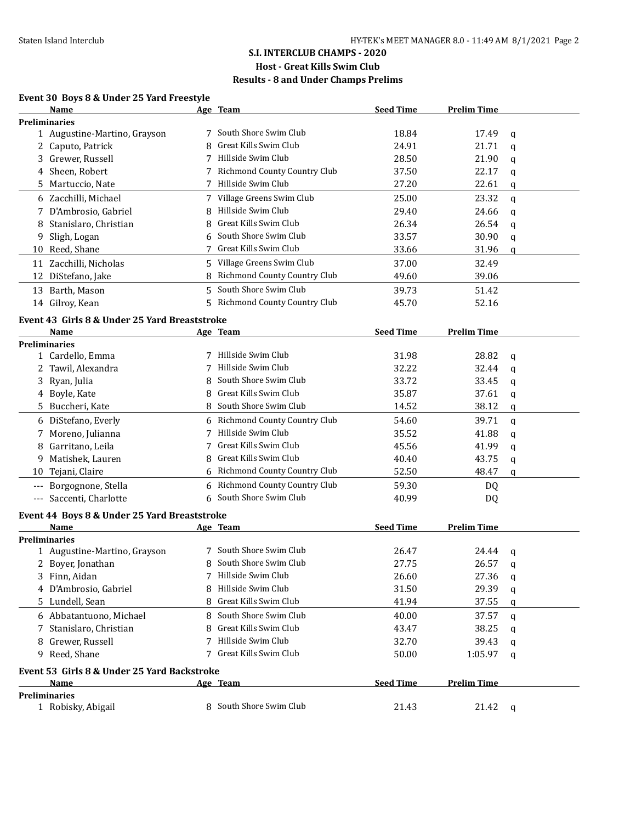### **S.I. INTERCLUB CHAMPS - 2020**

# **Host - Great Kills Swim Club**

## **Results - 8 and Under Champs Prelims**

#### **Event 30 Boys 8 & Under 25 Yard Freestyle**

|                     | Name                                          |    | Age Team                     | <b>Seed Time</b> | <b>Prelim Time</b> |              |
|---------------------|-----------------------------------------------|----|------------------------------|------------------|--------------------|--------------|
|                     | <b>Preliminaries</b>                          |    |                              |                  |                    |              |
|                     | 1 Augustine-Martino, Grayson                  |    | 7 South Shore Swim Club      | 18.84            | 17.49              | q            |
|                     | 2 Caputo, Patrick                             | 8  | Great Kills Swim Club        | 24.91            | 21.71              | q            |
| 3                   | Grewer, Russell                               | 7  | Hillside Swim Club           | 28.50            | 21.90              | q            |
|                     | 4 Sheen, Robert                               |    | Richmond County Country Club | 37.50            | 22.17              | q            |
|                     | 5 Martuccio, Nate                             |    | Hillside Swim Club           | 27.20            | 22.61              | q            |
|                     | 6 Zacchilli, Michael                          |    | 7 Village Greens Swim Club   | 25.00            | 23.32              | $\mathbf{q}$ |
| 7                   | D'Ambrosio, Gabriel                           | 8  | Hillside Swim Club           | 29.40            | 24.66              | q            |
| 8                   | Stanislaro, Christian                         | 8  | Great Kills Swim Club        | 26.34            | 26.54              | q            |
| 9                   | Sligh, Logan                                  | 6  | South Shore Swim Club        | 33.57            | 30.90              | q            |
| 10                  | Reed, Shane                                   | 7  | Great Kills Swim Club        | 33.66            | 31.96              | q            |
|                     | 11 Zacchilli, Nicholas                        |    | 5 Village Greens Swim Club   | 37.00            | 32.49              |              |
| 12                  | DiStefano, Jake                               | 8  | Richmond County Country Club | 49.60            | 39.06              |              |
|                     | 13 Barth, Mason                               | 5  | South Shore Swim Club        | 39.73            | 51.42              |              |
|                     | 14 Gilroy, Kean                               | 5. | Richmond County Country Club | 45.70            | 52.16              |              |
|                     |                                               |    |                              |                  |                    |              |
|                     | Event 43 Girls 8 & Under 25 Yard Breaststroke |    |                              |                  |                    |              |
|                     | <b>Name</b>                                   |    | Age Team                     | <b>Seed Time</b> | <b>Prelim Time</b> |              |
|                     | <b>Preliminaries</b>                          |    | Hillside Swim Club           |                  |                    |              |
|                     | 1 Cardello, Emma<br>2 Tawil, Alexandra        | 7  | Hillside Swim Club           | 31.98<br>32.22   | 28.82<br>32.44     | q            |
|                     | Ryan, Julia                                   | 8  | South Shore Swim Club        | 33.72            | 33.45              | q            |
| 3                   | 4 Boyle, Kate                                 | 8  | Great Kills Swim Club        | 35.87            | 37.61              | q            |
|                     |                                               | 8  | South Shore Swim Club        |                  |                    | q            |
| 5.                  | Buccheri, Kate                                |    |                              | 14.52            | 38.12              | q            |
|                     | 6 DiStefano, Everly                           | 6  | Richmond County Country Club | 54.60            | 39.71              | q            |
| 7                   | Moreno, Julianna                              | 7  | Hillside Swim Club           | 35.52            | 41.88              | q            |
| 8                   | Garritano, Leila                              |    | Great Kills Swim Club        | 45.56            | 41.99              | q            |
| 9                   | Matishek, Lauren                              | 8  | Great Kills Swim Club        | 40.40            | 43.75              | q            |
| 10                  | Tejani, Claire                                | 6  | Richmond County Country Club | 52.50            | 48.47              | q            |
| $---$               | Borgognone, Stella                            | 6  | Richmond County Country Club | 59.30            | DQ                 |              |
| $\qquad \qquad - -$ | Saccenti, Charlotte                           | 6  | South Shore Swim Club        | 40.99            | DQ                 |              |
|                     | Event 44 Boys 8 & Under 25 Yard Breaststroke  |    |                              |                  |                    |              |
|                     | Name                                          |    | Age Team                     | <b>Seed Time</b> | <b>Prelim Time</b> |              |
|                     | Preliminaries                                 |    |                              |                  |                    |              |
|                     | 1 Augustine-Martino, Grayson                  | 7  | South Shore Swim Club        | 26.47            | 24.44              | q            |
|                     | 2 Boyer, Jonathan                             |    | 8 South Shore Swim Club      | 27.75            | 26.57              | q            |
|                     | Finn, Aidan                                   |    | 7 Hillside Swim Club         | 26.60            | 27.36              | q            |
|                     | 4 D'Ambrosio, Gabriel                         | 8  | Hillside Swim Club           | 31.50            | 29.39              | q            |
|                     | 5 Lundell, Sean                               | 8  | Great Kills Swim Club        | 41.94            | 37.55              | q            |
|                     | 6 Abbatantuono, Michael                       | 8  | South Shore Swim Club        | 40.00            | 37.57              | q            |
| 7                   | Stanislaro, Christian                         | 8  | Great Kills Swim Club        | 43.47            | 38.25              | q            |
| 8                   | Grewer, Russell                               | 7  | Hillside Swim Club           | 32.70            | 39.43              | q            |
|                     | 9 Reed, Shane                                 | 7  | Great Kills Swim Club        | 50.00            | 1:05.97            | q            |
|                     | Event 53 Girls 8 & Under 25 Yard Backstroke   |    |                              |                  |                    |              |
|                     | Name                                          |    | <u>Age Team</u>              | <b>Seed Time</b> | <b>Prelim Time</b> |              |
|                     | <b>Preliminaries</b>                          |    |                              |                  |                    |              |
|                     | 1 Robisky, Abigail                            |    | 8 South Shore Swim Club      | 21.43            | 21.42              | q            |
|                     |                                               |    |                              |                  |                    |              |